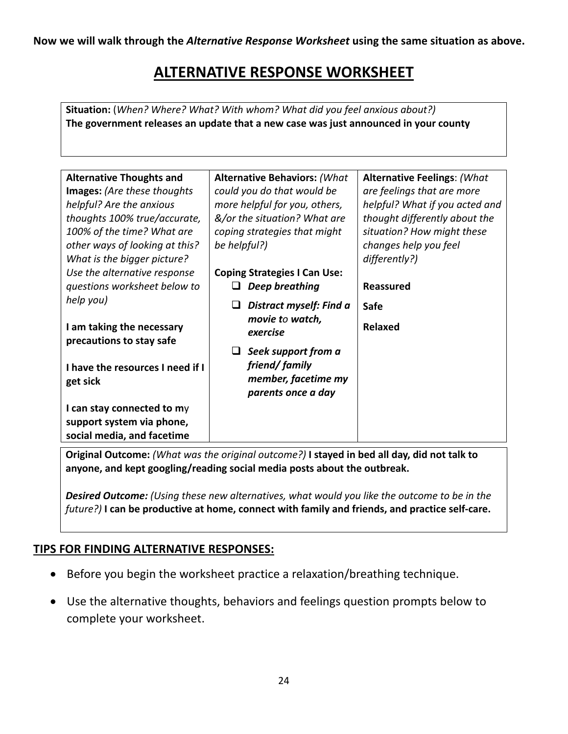**Now we will walk through the** *Alternative Response Worksheet* **using the same situation as above.** 

## **ALTERNATIVE RESPONSE WORKSHEET**

 **Situation:** (*When? Where? What? With whom? What did you feel anxious about?)*  **The government releases an update that a new case was just announced in your county** 

| <b>Alternative Thoughts and</b><br><b>Alternative Behaviors: (What</b><br><b>Alternative Feelings: (What</b><br>could you do that would be<br>are feelings that are more<br><b>Images:</b> (Are these thoughts |  |
|----------------------------------------------------------------------------------------------------------------------------------------------------------------------------------------------------------------|--|
|                                                                                                                                                                                                                |  |
|                                                                                                                                                                                                                |  |
| helpful? Are the anxious<br>more helpful for you, others,<br>helpful? What if you acted and                                                                                                                    |  |
| &/or the situation? What are<br>thought differently about the<br>thoughts 100% true/accurate,                                                                                                                  |  |
| 100% of the time? What are<br>situation? How might these<br>coping strategies that might                                                                                                                       |  |
| changes help you feel<br>other ways of looking at this?<br>be helpful?)                                                                                                                                        |  |
| What is the bigger picture?<br>differently?)                                                                                                                                                                   |  |
| Use the alternative response<br><b>Coping Strategies I Can Use:</b>                                                                                                                                            |  |
| questions worksheet below to<br>Deep breathing<br><b>Reassured</b>                                                                                                                                             |  |
| help you)<br>Distract myself: Find a<br>Safe                                                                                                                                                                   |  |
| movie to watch,                                                                                                                                                                                                |  |
| Relaxed<br>I am taking the necessary<br>exercise                                                                                                                                                               |  |
| precautions to stay safe                                                                                                                                                                                       |  |
| Seek support from a                                                                                                                                                                                            |  |
| friend/family<br>I have the resources I need if I                                                                                                                                                              |  |
| member, facetime my<br>get sick                                                                                                                                                                                |  |
| parents once a day                                                                                                                                                                                             |  |
| I can stay connected to my                                                                                                                                                                                     |  |
| support system via phone,                                                                                                                                                                                      |  |
| social media, and facetime                                                                                                                                                                                     |  |

 **Original Outcome:** *(What was the original outcome?)* **I stayed in bed all day, did not talk to anyone, and kept googling/reading social media posts about the outbreak.** 

**Desired Outcome:** (Using these new alternatives, what would you like the outcome to be in the  *future?)* **I can be productive at home, connect with family and friends, and practice self-care.** 

## **TIPS FOR FINDING ALTERNATIVE RESPONSES:**

- Before you begin the worksheet practice a relaxation/breathing technique.
- • Use the alternative thoughts, behaviors and feelings question prompts below to complete your worksheet.